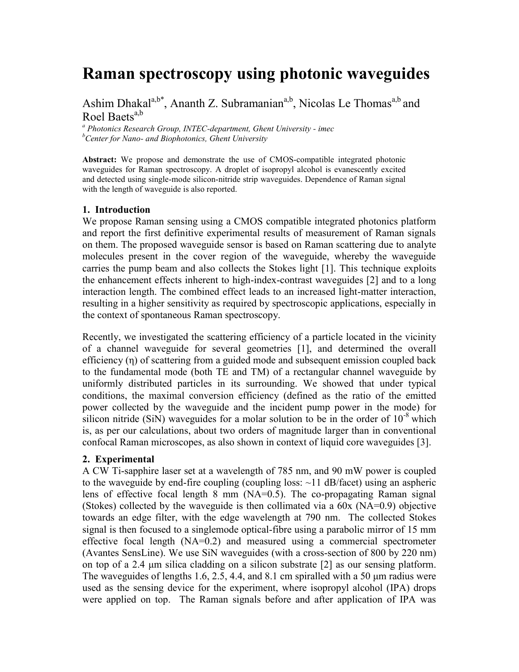# **Raman spectroscopy using photonic waveguides**

Ashim Dhakal<sup>a,b\*</sup>, Ananth Z. Subramanian<sup>a,b</sup>, Nicolas Le Thomas<sup>a,b</sup> and Roel Baets<sup>a,b</sup>

*<sup>a</sup> Photonics Research Group, INTEC-department, Ghent University - imec <sup>b</sup>Center for Nano- and Biophotonics, Ghent University*

**Abstract:** We propose and demonstrate the use of CMOS-compatible integrated photonic waveguides for Raman spectroscopy. A droplet of isopropyl alcohol is evanescently excited and detected using single-mode silicon-nitride strip waveguides. Dependence of Raman signal with the length of waveguide is also reported.

#### **1. Introduction**

We propose Raman sensing using a CMOS compatible integrated photonics platform and report the first definitive experimental results of measurement of Raman signals on them. The proposed waveguide sensor is based on Raman scattering due to analyte molecules present in the cover region of the waveguide, whereby the waveguide carries the pump beam and also collects the Stokes light [1]. This technique exploits the enhancement effects inherent to high-index-contrast waveguides [2] and to a long interaction length. The combined effect leads to an increased light-matter interaction, resulting in a higher sensitivity as required by spectroscopic applications, especially in the context of spontaneous Raman spectroscopy.

Recently, we investigated the scattering efficiency of a particle located in the vicinity of a channel waveguide for several geometries [1], and determined the overall efficiency (η) of scattering from a guided mode and subsequent emission coupled back to the fundamental mode (both TE and TM) of a rectangular channel waveguide by uniformly distributed particles in its surrounding. We showed that under typical conditions, the maximal conversion efficiency (defined as the ratio of the emitted power collected by the waveguide and the incident pump power in the mode) for silicon nitride (SiN) waveguides for a molar solution to be in the order of  $10^{-8}$  which is, as per our calculations, about two orders of magnitude larger than in conventional confocal Raman microscopes, as also shown in context of liquid core waveguides [3].

#### **2. Experimental**

A CW Ti-sapphire laser set at a wavelength of 785 nm, and 90 mW power is coupled to the waveguide by end-fire coupling (coupling loss:  $\sim$ 11 dB/facet) using an aspheric lens of effective focal length 8 mm (NA=0.5). The co-propagating Raman signal (Stokes) collected by the waveguide is then collimated via a 60x (NA=0.9) objective towards an edge filter, with the edge wavelength at 790 nm. The collected Stokes signal is then focused to a singlemode optical-fibre using a parabolic mirror of 15 mm effective focal length (NA=0.2) and measured using a commercial spectrometer (Avantes SensLine). We use SiN waveguides (with a cross-section of 800 by 220 nm) on top of a 2.4 μm silica cladding on a silicon substrate [2] as our sensing platform. The waveguides of lengths 1.6, 2.5, 4.4, and 8.1 cm spiralled with a 50 μm radius were used as the sensing device for the experiment, where isopropyl alcohol (IPA) drops were applied on top. The Raman signals before and after application of IPA was